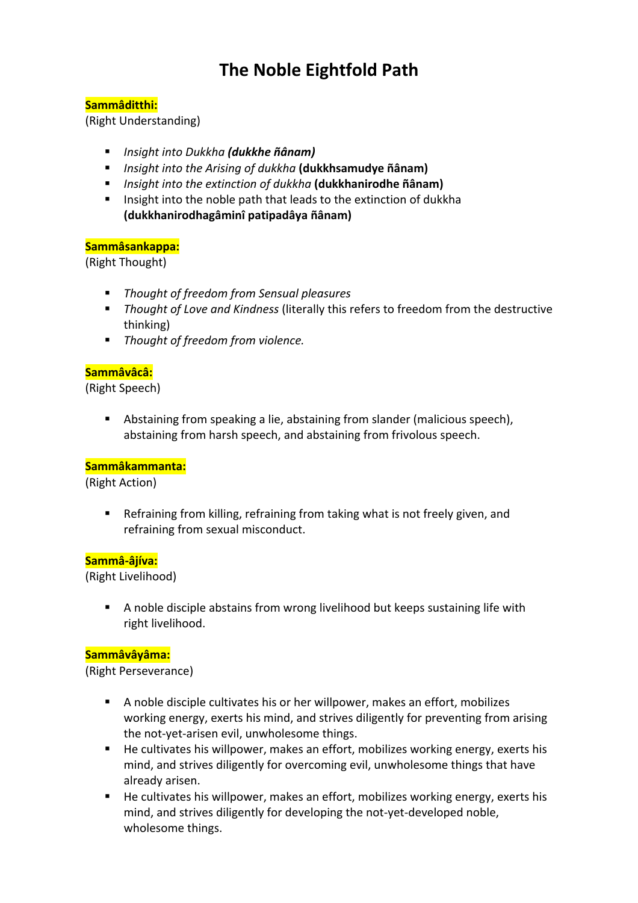# **The Noble Eightfold Path**

# **Sammâditthi:**

(Right Understanding)

- § *Insight into Dukkha (dukkhe ñânam)*
- § *Insight into the Arising of dukkha* **(dukkhsamudye ñânam)**
- § *Insight into the extinction of dukkha* **(dukkhanirodhe ñânam)**
- Insight into the noble path that leads to the extinction of dukkha **(dukkhanirodhagâminî patipadâya ñânam)**

# **Sammâsankappa:**

(Right Thought)

- § *Thought of freedom from Sensual pleasures*
- *Thought of Love and Kindness* (literally this refers to freedom from the destructive thinking)
- *Thought of freedom from violence.*

### **Sammâvâcâ:**

(Right Speech)

■ Abstaining from speaking a lie, abstaining from slander (malicious speech), abstaining from harsh speech, and abstaining from frivolous speech.

# **Sammâkammanta:**

(Right Action)

■ Refraining from killing, refraining from taking what is not freely given, and refraining from sexual misconduct.

#### **Sammâ-âjíva:**

(Right Livelihood)

■ A noble disciple abstains from wrong livelihood but keeps sustaining life with right livelihood.

# **Sammâvâyâma:**

(Right Perseverance)

- A noble disciple cultivates his or her willpower, makes an effort, mobilizes working energy, exerts his mind, and strives diligently for preventing from arising the not-yet-arisen evil, unwholesome things.
- He cultivates his willpower, makes an effort, mobilizes working energy, exerts his mind, and strives diligently for overcoming evil, unwholesome things that have already arisen.
- He cultivates his willpower, makes an effort, mobilizes working energy, exerts his mind, and strives diligently for developing the not-yet-developed noble, wholesome things.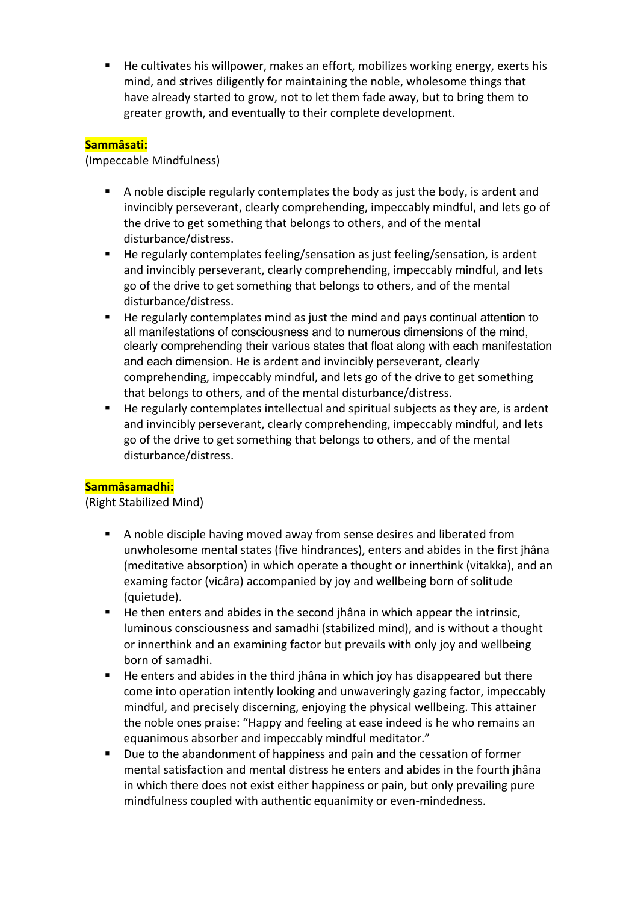■ He cultivates his willpower, makes an effort, mobilizes working energy, exerts his mind, and strives diligently for maintaining the noble, wholesome things that have already started to grow, not to let them fade away, but to bring them to greater growth, and eventually to their complete development.

# **Sammâsati:**

### (Impeccable Mindfulness)

- § A noble disciple regularly contemplates the body as just the body, is ardent and invincibly perseverant, clearly comprehending, impeccably mindful, and lets go of the drive to get something that belongs to others, and of the mental disturbance/distress.
- He regularly contemplates feeling/sensation as just feeling/sensation, is ardent and invincibly perseverant, clearly comprehending, impeccably mindful, and lets go of the drive to get something that belongs to others, and of the mental disturbance/distress.
- He regularly contemplates mind as just the mind and pays continual attention to all manifestations of consciousness and to numerous dimensions of the mind, clearly comprehending their various states that float along with each manifestation and each dimension. He is ardent and invincibly perseverant, clearly comprehending, impeccably mindful, and lets go of the drive to get something that belongs to others, and of the mental disturbance/distress.
- He regularly contemplates intellectual and spiritual subjects as they are, is ardent and invincibly perseverant, clearly comprehending, impeccably mindful, and lets go of the drive to get something that belongs to others, and of the mental disturbance/distress.

# **Sammâsamadhi:**

# (Right Stabilized Mind)

- A noble disciple having moved away from sense desires and liberated from unwholesome mental states (five hindrances), enters and abides in the first jhâna (meditative absorption) in which operate a thought or innerthink (vitakka), and an examing factor (vicâra) accompanied by joy and wellbeing born of solitude (quietude).
- He then enters and abides in the second jhâna in which appear the intrinsic, luminous consciousness and samadhi (stabilized mind), and is without a thought or innerthink and an examining factor but prevails with only joy and wellbeing born of samadhi.
- He enters and abides in the third jhâna in which joy has disappeared but there come into operation intently looking and unwaveringly gazing factor, impeccably mindful, and precisely discerning, enjoying the physical wellbeing. This attainer the noble ones praise: "Happy and feeling at ease indeed is he who remains an equanimous absorber and impeccably mindful meditator."
- Due to the abandonment of happiness and pain and the cessation of former mental satisfaction and mental distress he enters and abides in the fourth jhâna in which there does not exist either happiness or pain, but only prevailing pure mindfulness coupled with authentic equanimity or even-mindedness.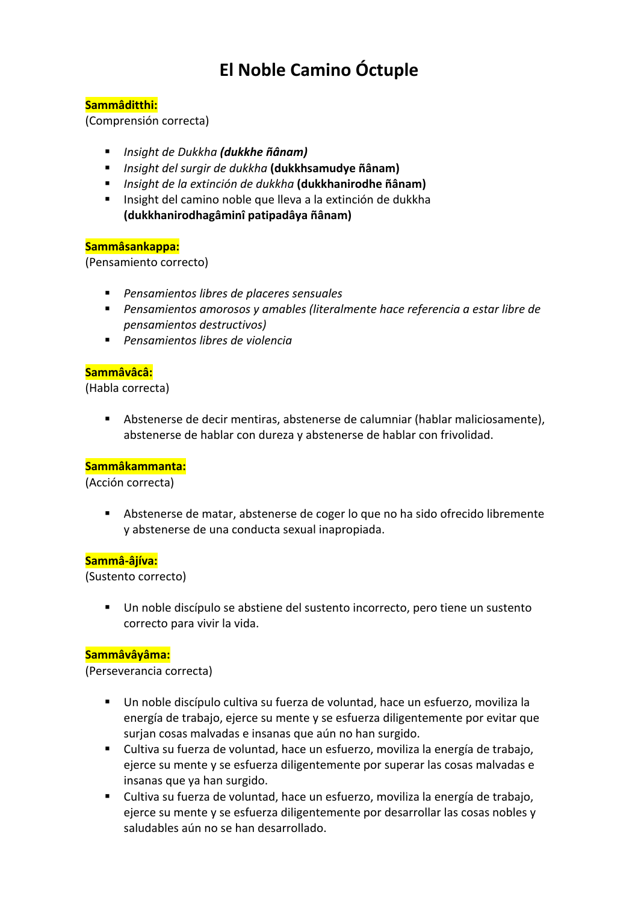# **El Noble Camino Óctuple**

# **Sammâditthi:**

(Comprensión correcta)

- § *Insight de Dukkha (dukkhe ñânam)*
- § *Insight del surgir de dukkha* **(dukkhsamudye ñânam)**
- § *Insight de la extinción de dukkha* **(dukkhanirodhe ñânam)**
- Insight del camino noble que lleva a la extinción de dukkha **(dukkhanirodhagâminî patipadâya ñânam)**

# **Sammâsankappa:**

(Pensamiento correcto)

- § *Pensamientos libres de placeres sensuales*
- Pensamientos amorosos y amables (literalmente hace referencia a estar libre de *pensamientos destructivos)*
- § *Pensamientos libres de violencia*

# **Sammâvâcâ:**

(Habla correcta)

§ Abstenerse de decir mentiras, abstenerse de calumniar (hablar maliciosamente), abstenerse de hablar con dureza y abstenerse de hablar con frivolidad.

# **Sammâkammanta:**

(Acción correcta)

■ Abstenerse de matar, abstenerse de coger lo que no ha sido ofrecido libremente y abstenerse de una conducta sexual inapropiada.

#### **Sammâ-âjíva:**

(Sustento correcto)

§ Un noble discípulo se abstiene del sustento incorrecto, pero tiene un sustento correcto para vivir la vida.

# **Sammâvâyâma:**

(Perseverancia correcta)

- Un noble discípulo cultiva su fuerza de voluntad, hace un esfuerzo, moviliza la energía de trabajo, ejerce su mente y se esfuerza diligentemente por evitar que surjan cosas malvadas e insanas que aún no han surgido.
- § Cultiva su fuerza de voluntad, hace un esfuerzo, moviliza la energía de trabajo, ejerce su mente y se esfuerza diligentemente por superar las cosas malvadas e insanas que ya han surgido.
- § Cultiva su fuerza de voluntad, hace un esfuerzo, moviliza la energía de trabajo, ejerce su mente y se esfuerza diligentemente por desarrollar las cosas nobles y saludables aún no se han desarrollado.